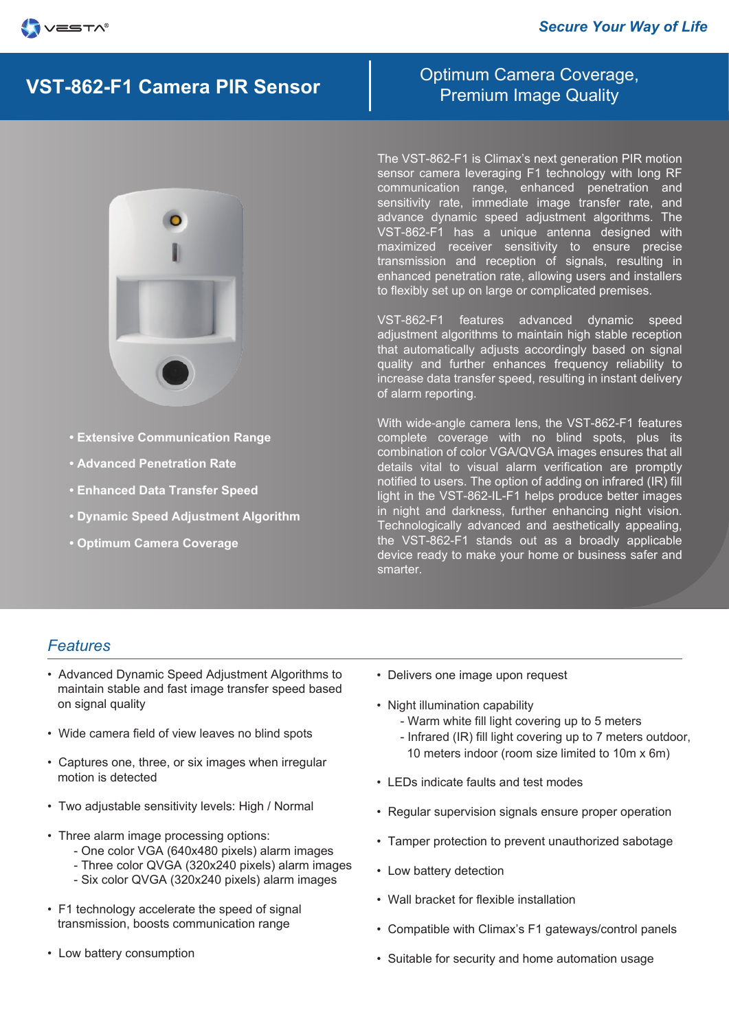# Premium Image Quality **VST-862-F1 Camera PIR Sensor**



- **Extensive Communication Range**
- **Advanced Penetration Rate**
- **Enhanced Data Transfer Speed**
- **Dynamic Speed Adjustment Algorithm**
- **Optimum Camera Coverage**

Optimum Camera Coverage,

The VST-862-F1 is Climax's next generation PIR motion sensor camera leveraging F1 technology with long RF communication range, enhanced penetration and sensitivity rate, immediate image transfer rate, and advance dynamic speed adjustment algorithms. The VST-862-F1 has a unique antenna designed with maximized receiver sensitivity to ensure precise transmission and reception of signals, resulting in enhanced penetration rate, allowing users and installers to flexibly set up on large or complicated premises.

VST-862-F1 features advanced dynamic speed adjustment algorithms to maintain high stable reception that automatically adjusts accordingly based on signal quality and further enhances frequency reliability to increase data transfer speed, resulting in instant delivery of alarm reporting.

With wide-angle camera lens, the VST-862-F1 features complete coverage with no blind spots, plus its combination of color VGA/QVGA images ensures that all details vital to visual alarm verification are promptly notified to users. The option of adding on infrared (IR) fill light in the VST-862-IL-F1 helps produce better images in night and darkness, further enhancing night vision. Technologically advanced and aesthetically appealing, the VST-862-F1 stands out as a broadly applicable device ready to make your home or business safer and smarter.

### *Features*

- Advanced Dynamic Speed Adjustment Algorithms to maintain stable and fast image transfer speed based on signal quality
- Wide camera field of view leaves no blind spots
- Captures one, three, or six images when irregular motion is detected
- Two adjustable sensitivity levels: High / Normal
- Three alarm image processing options:
	- One color VGA (640x480 pixels) alarm images
	- Three color QVGA (320x240 pixels) alarm images
	- Six color QVGA (320x240 pixels) alarm images
- F1 technology accelerate the speed of signal transmission, boosts communication range
- Low battery consumption
- Delivers one image upon request
- Night illumination capability
	- Warm white fill light covering up to 5 meters
	- Infrared (IR) fill light covering up to 7 meters outdoor, 10 meters indoor (room size limited to 10m x 6m)
- LEDs indicate faults and test modes
- Regular supervision signals ensure proper operation
- Tamper protection to prevent unauthorized sabotage
- Low battery detection
- Wall bracket for flexible installation
- Compatible with Climax's F1 gateways/control panels
- Suitable for security and home automation usage